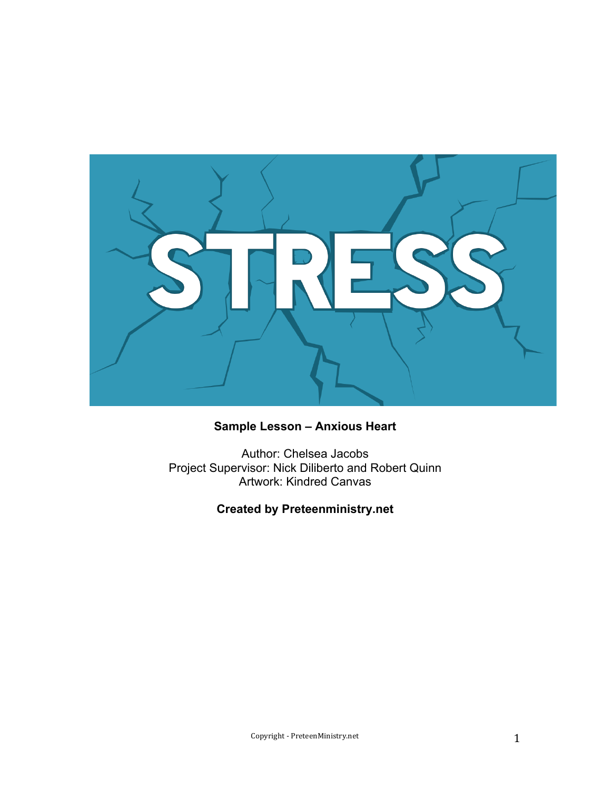

## **Sample Lesson – Anxious Heart**

Author: Chelsea Jacobs Project Supervisor: Nick Diliberto and Robert Quinn Artwork: Kindred Canvas

**Created by Preteenministry.net**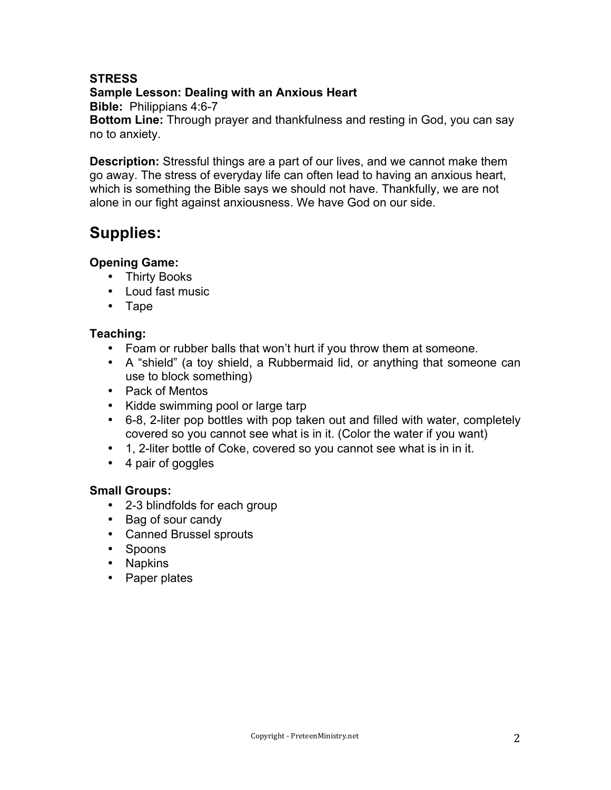## **STRESS**

**Sample Lesson: Dealing with an Anxious Heart** 

**Bible:** Philippians 4:6-7

**Bottom Line:** Through prayer and thankfulness and resting in God, you can say no to anxiety.

**Description:** Stressful things are a part of our lives, and we cannot make them go away. The stress of everyday life can often lead to having an anxious heart, which is something the Bible says we should not have. Thankfully, we are not alone in our fight against anxiousness. We have God on our side.

# **Supplies:**

## **Opening Game:**

- Thirty Books
- Loud fast music
- Tape

## **Teaching:**

- Foam or rubber balls that won't hurt if you throw them at someone.
- A "shield" (a toy shield, a Rubbermaid lid, or anything that someone can use to block something)
- Pack of Mentos
- Kidde swimming pool or large tarp
- 6-8, 2-liter pop bottles with pop taken out and filled with water, completely covered so you cannot see what is in it. (Color the water if you want)
- 1, 2-liter bottle of Coke, covered so you cannot see what is in in it.
- 4 pair of goggles

## **Small Groups:**

- 2-3 blindfolds for each group
- Bag of sour candy
- Canned Brussel sprouts
- Spoons
- Napkins
- Paper plates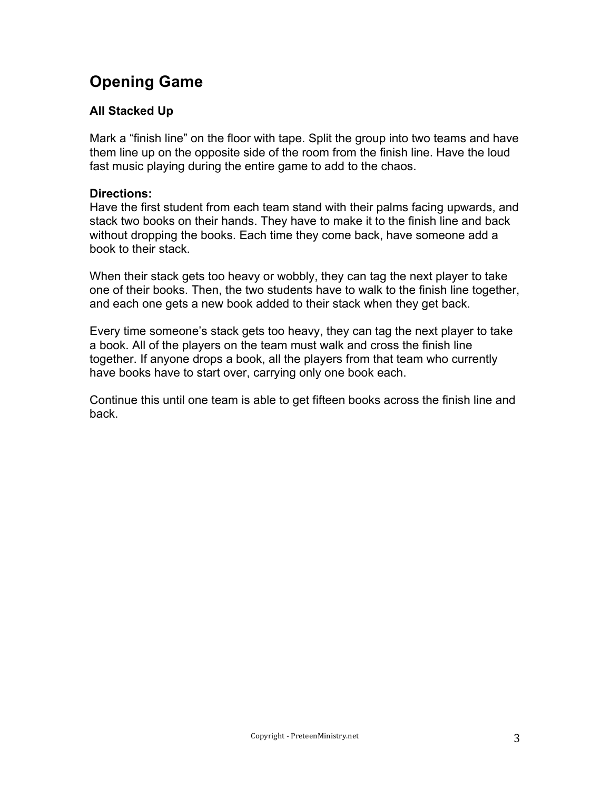# **Opening Game**

## **All Stacked Up**

Mark a "finish line" on the floor with tape. Split the group into two teams and have them line up on the opposite side of the room from the finish line. Have the loud fast music playing during the entire game to add to the chaos.

### **Directions:**

Have the first student from each team stand with their palms facing upwards, and stack two books on their hands. They have to make it to the finish line and back without dropping the books. Each time they come back, have someone add a book to their stack.

When their stack gets too heavy or wobbly, they can tag the next player to take one of their books. Then, the two students have to walk to the finish line together, and each one gets a new book added to their stack when they get back.

Every time someone's stack gets too heavy, they can tag the next player to take a book. All of the players on the team must walk and cross the finish line together. If anyone drops a book, all the players from that team who currently have books have to start over, carrying only one book each.

Continue this until one team is able to get fifteen books across the finish line and back.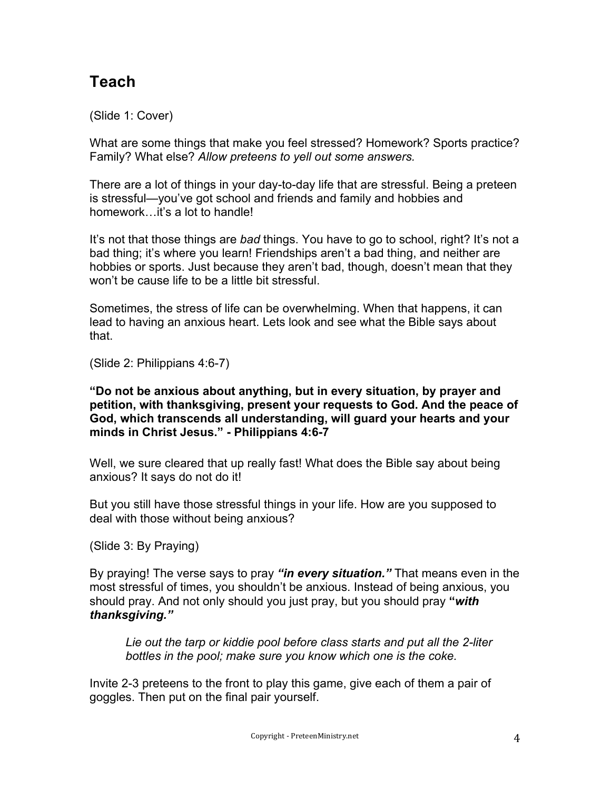# **Teach**

(Slide 1: Cover)

What are some things that make you feel stressed? Homework? Sports practice? Family? What else? *Allow preteens to yell out some answers.* 

There are a lot of things in your day-to-day life that are stressful. Being a preteen is stressful—you've got school and friends and family and hobbies and homework...it's a lot to handle!

It's not that those things are *bad* things. You have to go to school, right? It's not a bad thing; it's where you learn! Friendships aren't a bad thing, and neither are hobbies or sports. Just because they aren't bad, though, doesn't mean that they won't be cause life to be a little bit stressful.

Sometimes, the stress of life can be overwhelming. When that happens, it can lead to having an anxious heart. Lets look and see what the Bible says about that.

(Slide 2: Philippians 4:6-7)

**"Do not be anxious about anything, but in every situation, by prayer and petition, with thanksgiving, present your requests to God. And the peace of God, which transcends all understanding, will guard your hearts and your minds in Christ Jesus." - Philippians 4:6-7**

Well, we sure cleared that up really fast! What does the Bible say about being anxious? It says do not do it!

But you still have those stressful things in your life. How are you supposed to deal with those without being anxious?

(Slide 3: By Praying)

By praying! The verse says to pray *"in every situation."* That means even in the most stressful of times, you shouldn't be anxious. Instead of being anxious, you should pray. And not only should you just pray, but you should pray **"***with thanksgiving."*

*Lie out the tarp or kiddie pool before class starts and put all the 2-liter bottles in the pool; make sure you know which one is the coke.*

Invite 2-3 preteens to the front to play this game, give each of them a pair of goggles. Then put on the final pair yourself.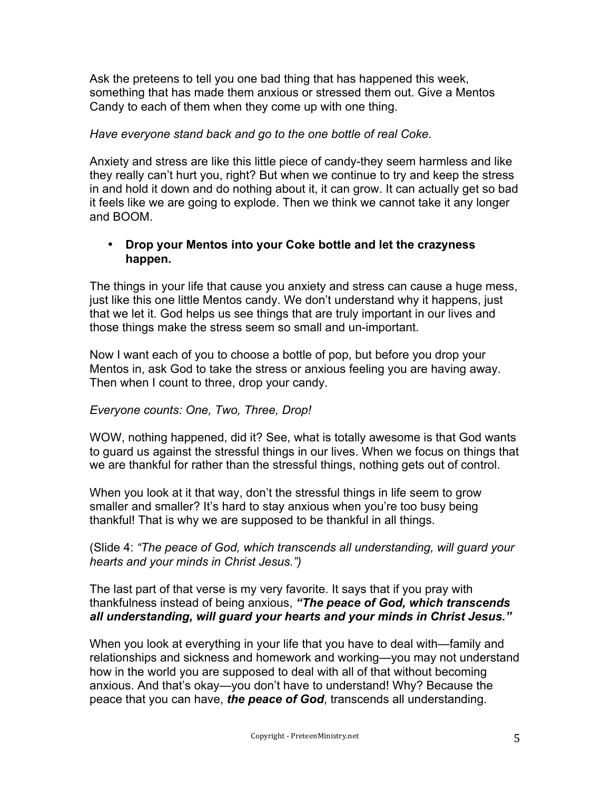Ask the preteens to tell you one bad thing that has happened this week, something that has made them anxious or stressed them out. Give a Mentos Candy to each of them when they come up with one thing.

### *Have everyone stand back and go to the one bottle of real Coke.*

Anxiety and stress are like this little piece of candy-they seem harmless and like they really can't hurt you, right? But when we continue to try and keep the stress in and hold it down and do nothing about it, it can grow. It can actually get so bad it feels like we are going to explode. Then we think we cannot take it any longer and BOOM.

### • **Drop your Mentos into your Coke bottle and let the crazyness happen.**

The things in your life that cause you anxiety and stress can cause a huge mess, just like this one little Mentos candy. We don't understand why it happens, just that we let it. God helps us see things that are truly important in our lives and those things make the stress seem so small and un-important.

Now I want each of you to choose a bottle of pop, but before you drop your Mentos in, ask God to take the stress or anxious feeling you are having away. Then when I count to three, drop your candy.

### *Everyone counts: One, Two, Three, Drop!*

WOW, nothing happened, did it? See, what is totally awesome is that God wants to guard us against the stressful things in our lives. When we focus on things that we are thankful for rather than the stressful things, nothing gets out of control.

When you look at it that way, don't the stressful things in life seem to grow smaller and smaller? It's hard to stay anxious when you're too busy being thankful! That is why we are supposed to be thankful in all things.

(Slide 4: *"The peace of God, which transcends all understanding, will guard your hearts and your minds in Christ Jesus.")*

The last part of that verse is my very favorite. It says that if you pray with thankfulness instead of being anxious, *"The peace of God, which transcends all understanding, will guard your hearts and your minds in Christ Jesus."*

When you look at everything in your life that you have to deal with—family and relationships and sickness and homework and working—you may not understand how in the world you are supposed to deal with all of that without becoming anxious. And that's okay—you don't have to understand! Why? Because the peace that you can have, *the peace of God*, transcends all understanding.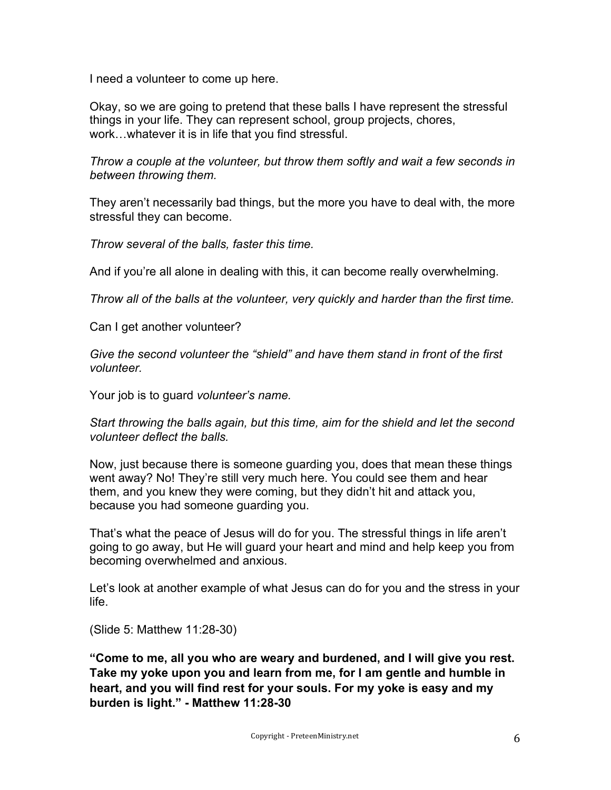I need a volunteer to come up here.

Okay, so we are going to pretend that these balls I have represent the stressful things in your life. They can represent school, group projects, chores, work…whatever it is in life that you find stressful.

*Throw a couple at the volunteer, but throw them softly and wait a few seconds in between throwing them.* 

They aren't necessarily bad things, but the more you have to deal with, the more stressful they can become.

*Throw several of the balls, faster this time.* 

And if you're all alone in dealing with this, it can become really overwhelming.

*Throw all of the balls at the volunteer, very quickly and harder than the first time.* 

Can I get another volunteer?

*Give the second volunteer the "shield" and have them stand in front of the first volunteer.* 

Your job is to guard *volunteer's name.* 

*Start throwing the balls again, but this time, aim for the shield and let the second volunteer deflect the balls.* 

Now, just because there is someone guarding you, does that mean these things went away? No! They're still very much here. You could see them and hear them, and you knew they were coming, but they didn't hit and attack you, because you had someone guarding you.

That's what the peace of Jesus will do for you. The stressful things in life aren't going to go away, but He will guard your heart and mind and help keep you from becoming overwhelmed and anxious.

Let's look at another example of what Jesus can do for you and the stress in your life.

(Slide 5: Matthew 11:28-30)

**"Come to me, all you who are weary and burdened, and I will give you rest. Take my yoke upon you and learn from me, for I am gentle and humble in heart, and you will find rest for your souls. For my yoke is easy and my burden is light." - Matthew 11:28-30**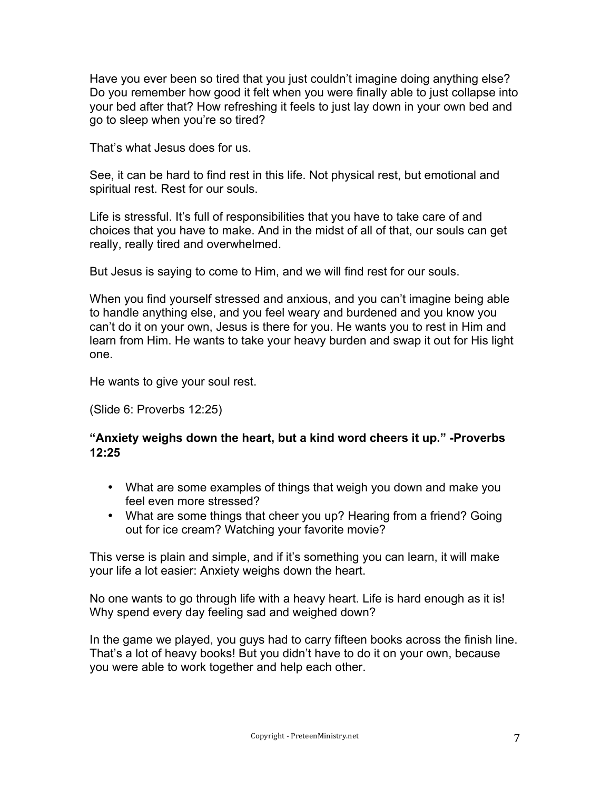Have you ever been so tired that you just couldn't imagine doing anything else? Do you remember how good it felt when you were finally able to just collapse into your bed after that? How refreshing it feels to just lay down in your own bed and go to sleep when you're so tired?

That's what Jesus does for us.

See, it can be hard to find rest in this life. Not physical rest, but emotional and spiritual rest. Rest for our souls.

Life is stressful. It's full of responsibilities that you have to take care of and choices that you have to make. And in the midst of all of that, our souls can get really, really tired and overwhelmed.

But Jesus is saying to come to Him, and we will find rest for our souls.

When you find yourself stressed and anxious, and you can't imagine being able to handle anything else, and you feel weary and burdened and you know you can't do it on your own, Jesus is there for you. He wants you to rest in Him and learn from Him. He wants to take your heavy burden and swap it out for His light one.

He wants to give your soul rest.

(Slide 6: Proverbs 12:25)

### **"Anxiety weighs down the heart, but a kind word cheers it up." -Proverbs 12:25**

- What are some examples of things that weigh you down and make you feel even more stressed?
- What are some things that cheer you up? Hearing from a friend? Going out for ice cream? Watching your favorite movie?

This verse is plain and simple, and if it's something you can learn, it will make your life a lot easier: Anxiety weighs down the heart.

No one wants to go through life with a heavy heart. Life is hard enough as it is! Why spend every day feeling sad and weighed down?

In the game we played, you guys had to carry fifteen books across the finish line. That's a lot of heavy books! But you didn't have to do it on your own, because you were able to work together and help each other.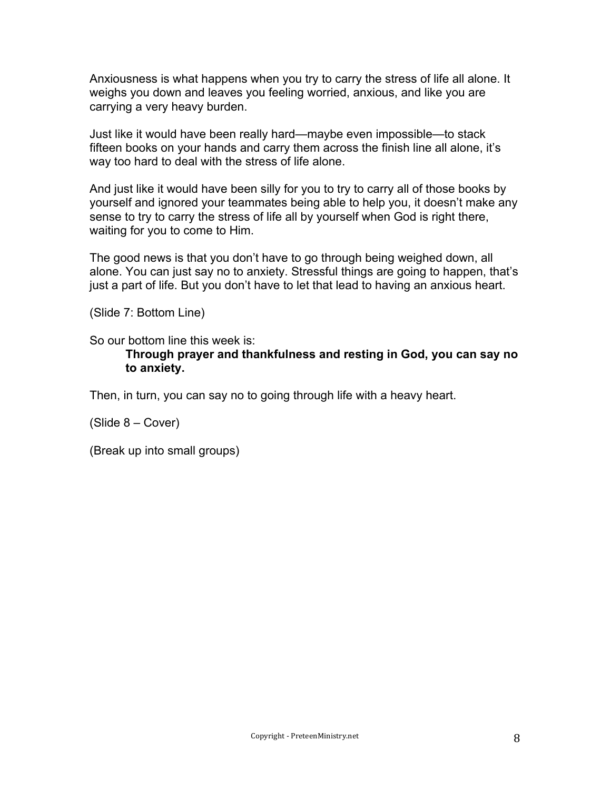Anxiousness is what happens when you try to carry the stress of life all alone. It weighs you down and leaves you feeling worried, anxious, and like you are carrying a very heavy burden.

Just like it would have been really hard—maybe even impossible—to stack fifteen books on your hands and carry them across the finish line all alone, it's way too hard to deal with the stress of life alone.

And just like it would have been silly for you to try to carry all of those books by yourself and ignored your teammates being able to help you, it doesn't make any sense to try to carry the stress of life all by yourself when God is right there, waiting for you to come to Him.

The good news is that you don't have to go through being weighed down, all alone. You can just say no to anxiety. Stressful things are going to happen, that's just a part of life. But you don't have to let that lead to having an anxious heart.

(Slide 7: Bottom Line)

So our bottom line this week is:

#### **Through prayer and thankfulness and resting in God, you can say no to anxiety.**

Then, in turn, you can say no to going through life with a heavy heart.

(Slide 8 – Cover)

(Break up into small groups)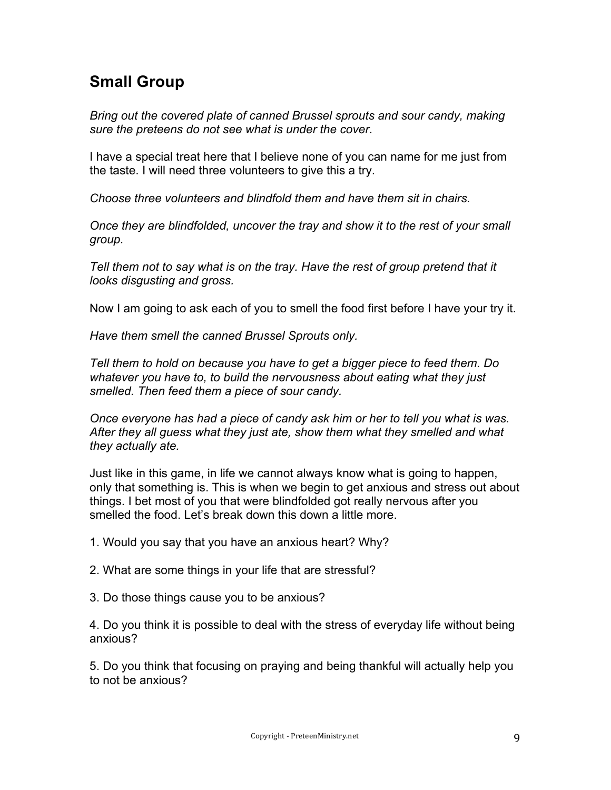## **Small Group**

*Bring out the covered plate of canned Brussel sprouts and sour candy, making sure the preteens do not see what is under the cover*.

I have a special treat here that I believe none of you can name for me just from the taste. I will need three volunteers to give this a try.

*Choose three volunteers and blindfold them and have them sit in chairs.*

*Once they are blindfolded, uncover the tray and show it to the rest of your small group.* 

*Tell them not to say what is on the tray. Have the rest of group pretend that it looks disgusting and gross.* 

Now I am going to ask each of you to smell the food first before I have your try it.

*Have them smell the canned Brussel Sprouts only.* 

*Tell them to hold on because you have to get a bigger piece to feed them. Do whatever you have to, to build the nervousness about eating what they just smelled. Then feed them a piece of sour candy.*

*Once everyone has had a piece of candy ask him or her to tell you what is was. After they all guess what they just ate, show them what they smelled and what they actually ate.*

Just like in this game, in life we cannot always know what is going to happen, only that something is. This is when we begin to get anxious and stress out about things. I bet most of you that were blindfolded got really nervous after you smelled the food. Let's break down this down a little more.

1. Would you say that you have an anxious heart? Why?

2. What are some things in your life that are stressful?

3. Do those things cause you to be anxious?

4. Do you think it is possible to deal with the stress of everyday life without being anxious?

5. Do you think that focusing on praying and being thankful will actually help you to not be anxious?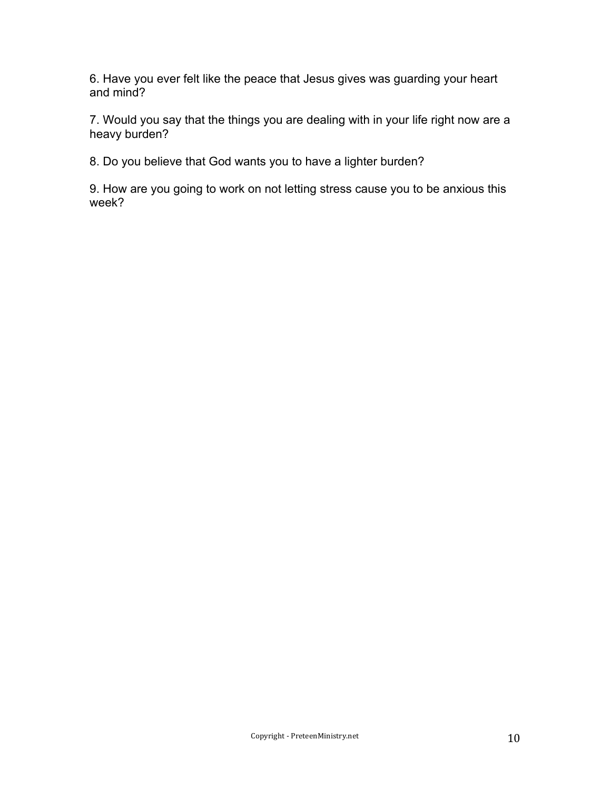6. Have you ever felt like the peace that Jesus gives was guarding your heart and mind?

7. Would you say that the things you are dealing with in your life right now are a heavy burden?

8. Do you believe that God wants you to have a lighter burden?

9. How are you going to work on not letting stress cause you to be anxious this week?